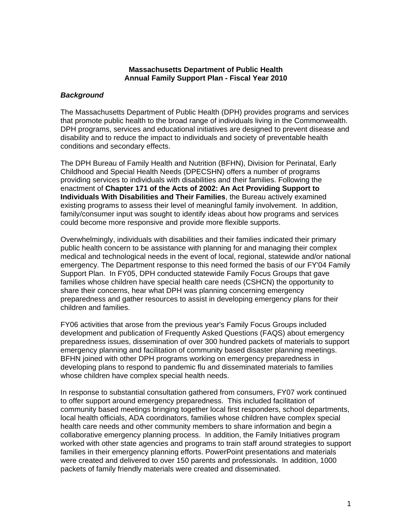#### **Massachusetts Department of Public Health Annual Family Support Plan - Fiscal Year 2010**

### *Background*

The Massachusetts Department of Public Health (DPH) provides programs and services that promote public health to the broad range of individuals living in the Commonwealth. DPH programs, services and educational initiatives are designed to prevent disease and disability and to reduce the impact to individuals and society of preventable health conditions and secondary effects.

The DPH Bureau of Family Health and Nutrition (BFHN), Division for Perinatal, Early Childhood and Special Health Needs (DPECSHN) offers a number of programs providing services to individuals with disabilities and their families. Following the enactment of **Chapter 171 of the Acts of 2002: An Act Providing Support to Individuals With Disabilities and Their Families**, the Bureau actively examined existing programs to assess their level of meaningful family involvement. In addition, family/consumer input was sought to identify ideas about how programs and services could become more responsive and provide more flexible supports.

Overwhelmingly, individuals with disabilities and their families indicated their primary public health concern to be assistance with planning for and managing their complex medical and technological needs in the event of local, regional, statewide and/or national emergency. The Department response to this need formed the basis of our FY'04 Family Support Plan. In FY05, DPH conducted statewide Family Focus Groups that gave families whose children have special health care needs (CSHCN) the opportunity to share their concerns, hear what DPH was planning concerning emergency preparedness and gather resources to assist in developing emergency plans for their children and families.

FY06 activities that arose from the previous year's Family Focus Groups included development and publication of Frequently Asked Questions (FAQS) about emergency preparedness issues, dissemination of over 300 hundred packets of materials to support emergency planning and facilitation of community based disaster planning meetings. BFHN joined with other DPH programs working on emergency preparedness in developing plans to respond to pandemic flu and disseminated materials to families whose children have complex special health needs.

In response to substantial consultation gathered from consumers, FY07 work continued to offer support around emergency preparedness. This included facilitation of community based meetings bringing together local first responders, school departments, local health officials, ADA coordinators, families whose children have complex special health care needs and other community members to share information and begin a collaborative emergency planning process. In addition, the Family Initiatives program worked with other state agencies and programs to train staff around strategies to support families in their emergency planning efforts. PowerPoint presentations and materials were created and delivered to over 150 parents and professionals. In addition, 1000 packets of family friendly materials were created and disseminated.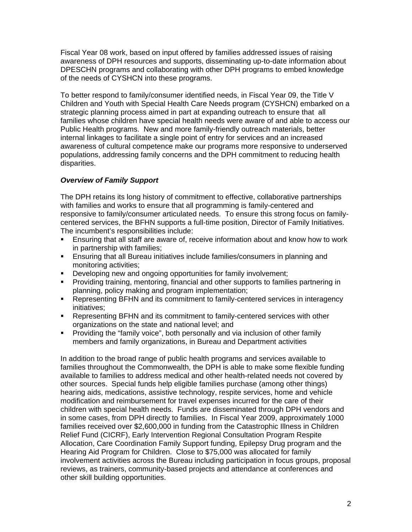Fiscal Year 08 work, based on input offered by families addressed issues of raising awareness of DPH resources and supports, disseminating up-to-date information about DPESCHN programs and collaborating with other DPH programs to embed knowledge of the needs of CYSHCN into these programs.

To better respond to family/consumer identified needs, in Fiscal Year 09, the Title V Children and Youth with Special Health Care Needs program (CYSHCN) embarked on a strategic planning process aimed in part at expanding outreach to ensure that all families whose children have special health needs were aware of and able to access our Public Health programs. New and more family-friendly outreach materials, better internal linkages to facilitate a single point of entry for services and an increased awareness of cultural competence make our programs more responsive to underserved populations, addressing family concerns and the DPH commitment to reducing health disparities.

## *Overview of Family Support*

The DPH retains its long history of commitment to effective, collaborative partnerships with families and works to ensure that all programming is family-centered and responsive to family/consumer articulated needs. To ensure this strong focus on familycentered services, the BFHN supports a full-time position, Director of Family Initiatives. The incumbent's responsibilities include:

- **Ensuring that all staff are aware of, receive information about and know how to work** in partnership with families;
- ! Ensuring that all Bureau initiatives include families/consumers in planning and monitoring activities;
- ! Developing new and ongoing opportunities for family involvement;
- ! Providing training, mentoring, financial and other supports to families partnering in planning, policy making and program implementation;
- ! Representing BFHN and its commitment to family-centered services in interagency initiatives;
- ! Representing BFHN and its commitment to family-centered services with other organizations on the state and national level; and
- ! Providing the "family voice", both personally and via inclusion of other family members and family organizations, in Bureau and Department activities

In addition to the broad range of public health programs and services available to families throughout the Commonwealth, the DPH is able to make some flexible funding available to families to address medical and other health-related needs not covered by other sources. Special funds help eligible families purchase (among other things) hearing aids, medications, assistive technology, respite services, home and vehicle modification and reimbursement for travel expenses incurred for the care of their children with special health needs. Funds are disseminated through DPH vendors and in some cases, from DPH directly to families. In Fiscal Year 2009, approximately 1000 families received over \$2,600,000 in funding from the Catastrophic Illness in Children Relief Fund (CICRF), Early Intervention Regional Consultation Program Respite Allocation, Care Coordination Family Support funding, Epilepsy Drug program and the Hearing Aid Program for Children. Close to \$75,000 was allocated for family involvement activities across the Bureau including participation in focus groups, proposal reviews, as trainers, community-based projects and attendance at conferences and other skill building opportunities.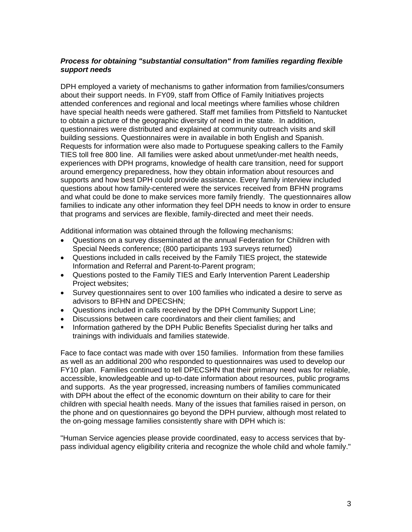### *Process for obtaining "substantial consultation" from families regarding flexible support needs*

DPH employed a variety of mechanisms to gather information from families/consumers about their support needs. In FY09, staff from Office of Family Initiatives projects attended conferences and regional and local meetings where families whose children have special health needs were gathered. Staff met families from Pittsfield to Nantucket to obtain a picture of the geographic diversity of need in the state. In addition, questionnaires were distributed and explained at community outreach visits and skill building sessions. Questionnaires were in available in both English and Spanish. Requests for information were also made to Portuguese speaking callers to the Family TIES toll free 800 line. All families were asked about unmet/under-met health needs, experiences with DPH programs, knowledge of health care transition, need for support around emergency preparedness, how they obtain information about resources and supports and how best DPH could provide assistance. Every family interview included questions about how family-centered were the services received from BFHN programs and what could be done to make services more family friendly. The questionnaires allow families to indicate any other information they feel DPH needs to know in order to ensure that programs and services are flexible, family-directed and meet their needs.

Additional information was obtained through the following mechanisms:

- Questions on a survey disseminated at the annual Federation for Children with Special Needs conference; (800 participants 193 surveys returned)
- Questions included in calls received by the Family TIES project, the statewide Information and Referral and Parent-to-Parent program;
- Questions posted to the Family TIES and Early Intervention Parent Leadership Project websites;
- Survey questionnaires sent to over 100 families who indicated a desire to serve as advisors to BFHN and DPECSHN;
- Questions included in calls received by the DPH Community Support Line;
- Discussions between care coordinators and their client families; and
- ! Information gathered by the DPH Public Benefits Specialist during her talks and trainings with individuals and families statewide.

Face to face contact was made with over 150 families. Information from these families as well as an additional 200 who responded to questionnaires was used to develop our FY10 plan. Families continued to tell DPECSHN that their primary need was for reliable, accessible, knowledgeable and up-to-date information about resources, public programs and supports. As the year progressed, increasing numbers of families communicated with DPH about the effect of the economic downturn on their ability to care for their children with special health needs. Many of the issues that families raised in person, on the phone and on questionnaires go beyond the DPH purview, although most related to the on-going message families consistently share with DPH which is:

"Human Service agencies please provide coordinated, easy to access services that bypass individual agency eligibility criteria and recognize the whole child and whole family."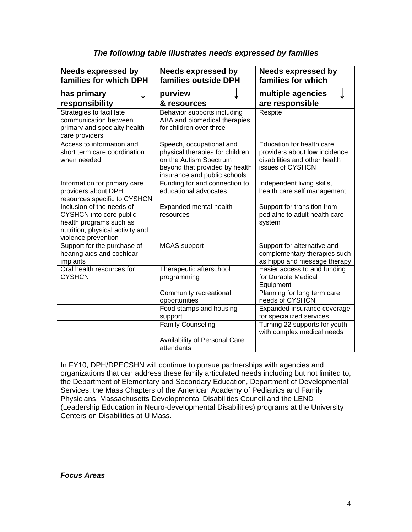| <b>Needs expressed by</b><br>families for which DPH                                                                                        | <b>Needs expressed by</b><br>families outside DPH                                                                                                       | <b>Needs expressed by</b><br>families for which                                                                 |
|--------------------------------------------------------------------------------------------------------------------------------------------|---------------------------------------------------------------------------------------------------------------------------------------------------------|-----------------------------------------------------------------------------------------------------------------|
| has primary<br>responsibility                                                                                                              | purview<br>& resources                                                                                                                                  | multiple agencies<br>are responsible                                                                            |
| Strategies to facilitate<br>communication between<br>primary and specialty health<br>care providers                                        | Behavior supports including<br>ABA and biomedical therapies<br>for children over three                                                                  | Respite                                                                                                         |
| Access to information and<br>short term care coordination<br>when needed                                                                   | Speech, occupational and<br>physical therapies for children<br>on the Autism Spectrum<br>beyond that provided by health<br>insurance and public schools | Education for health care<br>providers about low incidence<br>disabilities and other health<br>issues of CYSHCN |
| Information for primary care<br>providers about DPH<br>resources specific to CYSHCN                                                        | Funding for and connection to<br>educational advocates                                                                                                  | Independent living skills,<br>health care self management                                                       |
| Inclusion of the needs of<br>CYSHCN into core public<br>health programs such as<br>nutrition, physical activity and<br>violence prevention | Expanded mental health<br>resources                                                                                                                     | Support for transition from<br>pediatric to adult health care<br>system                                         |
| Support for the purchase of<br>hearing aids and cochlear<br>implants                                                                       | <b>MCAS</b> support                                                                                                                                     | Support for alternative and<br>complementary therapies such<br>as hippo and message therapy                     |
| Oral health resources for<br><b>CYSHCN</b>                                                                                                 | Therapeutic afterschool<br>programming                                                                                                                  | Easier access to and funding<br>for Durable Medical<br>Equipment                                                |
|                                                                                                                                            | Community recreational<br>opportunities                                                                                                                 | Planning for long term care<br>needs of CYSHCN                                                                  |
|                                                                                                                                            | Food stamps and housing<br>support                                                                                                                      | Expanded insurance coverage<br>for specialized services                                                         |
|                                                                                                                                            | <b>Family Counseling</b>                                                                                                                                | Turning 22 supports for youth<br>with complex medical needs                                                     |
|                                                                                                                                            | Availability of Personal Care<br>attendants                                                                                                             |                                                                                                                 |

# *The following table illustrates needs expressed by families*

In FY10, DPH/DPECSHN will continue to pursue partnerships with agencies and organizations that can address these family articulated needs including but not limited to, the Department of Elementary and Secondary Education, Department of Developmental Services, the Mass Chapters of the American Academy of Pediatrics and Family Physicians, Massachusetts Developmental Disabilities Council and the LEND (Leadership Education in Neuro-developmental Disabilities) programs at the University Centers on Disabilities at U Mass.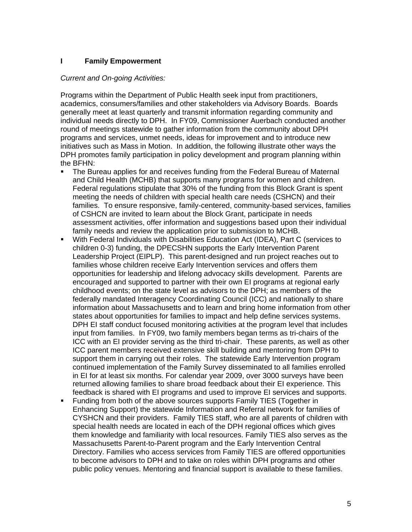## **I Family Empowerment**

### *Current and On-going Activities:*

Programs within the Department of Public Health seek input from practitioners, academics, consumers/families and other stakeholders via Advisory Boards. Boards generally meet at least quarterly and transmit information regarding community and individual needs directly to DPH. In FY09, Commissioner Auerbach conducted another round of meetings statewide to gather information from the community about DPH programs and services, unmet needs, ideas for improvement and to introduce new initiatives such as Mass in Motion. In addition, the following illustrate other ways the DPH promotes family participation in policy development and program planning within the BFHN:

- ! The Bureau applies for and receives funding from the Federal Bureau of Maternal and Child Health (MCHB) that supports many programs for women and children. Federal regulations stipulate that 30% of the funding from this Block Grant is spent meeting the needs of children with special health care needs (CSHCN) and their families. To ensure responsive, family-centered, community-based services, families of CSHCN are invited to learn about the Block Grant, participate in needs assessment activities, offer information and suggestions based upon their individual family needs and review the application prior to submission to MCHB.
- With Federal Individuals with Disabilities Education Act (IDEA), Part C (services to children 0-3) funding, the DPECSHN supports the Early Intervention Parent Leadership Project (EIPLP). This parent-designed and run project reaches out to families whose children receive Early Intervention services and offers them opportunities for leadership and lifelong advocacy skills development. Parents are encouraged and supported to partner with their own EI programs at regional early childhood events; on the state level as advisors to the DPH; as members of the federally mandated Interagency Coordinating Council (ICC) and nationally to share information about Massachusetts and to learn and bring home information from other states about opportunities for families to impact and help define services systems. DPH EI staff conduct focused monitoring activities at the program level that includes input from families. In FY09, two family members began terms as tri-chairs of the ICC with an EI provider serving as the third tri-chair. These parents, as well as other ICC parent members received extensive skill building and mentoring from DPH to support them in carrying out their roles. The statewide Early Intervention program continued implementation of the Family Survey disseminated to all families enrolled in EI for at least six months. For calendar year 2009, over 3000 surveys have been returned allowing families to share broad feedback about their EI experience. This feedback is shared with EI programs and used to improve EI services and supports.
- ! Funding from both of the above sources supports Family TIES (Together in Enhancing Support) the statewide Information and Referral network for families of CYSHCN and their providers. Family TIES staff, who are all parents of children with special health needs are located in each of the DPH regional offices which gives them knowledge and familiarity with local resources. Family TIES also serves as the Massachusetts Parent-to-Parent program and the Early Intervention Central Directory. Families who access services from Family TIES are offered opportunities to become advisors to DPH and to take on roles within DPH programs and other public policy venues. Mentoring and financial support is available to these families.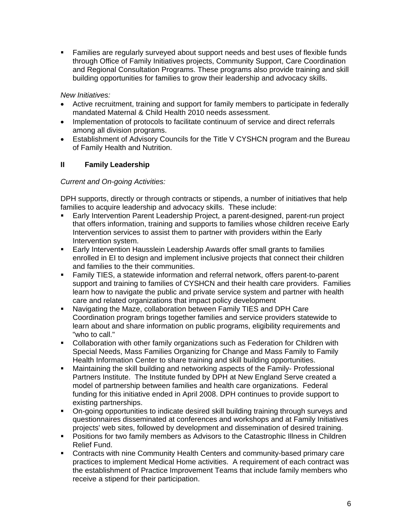! Families are regularly surveyed about support needs and best uses of flexible funds through Office of Family Initiatives projects, Community Support, Care Coordination and Regional Consultation Programs. These programs also provide training and skill building opportunities for families to grow their leadership and advocacy skills.

*New Initiatives:* 

- Active recruitment, training and support for family members to participate in federally mandated Maternal & Child Health 2010 needs assessment.
- Implementation of protocols to facilitate continuum of service and direct referrals among all division programs.
- Establishment of Advisory Councils for the Title V CYSHCN program and the Bureau of Family Health and Nutrition.

# **II Family Leadership**

## *Current and On-going Activities:*

DPH supports, directly or through contracts or stipends, a number of initiatives that help families to acquire leadership and advocacy skills. These include:

- **Early Intervention Parent Leadership Project, a parent-designed, parent-run project** that offers information, training and supports to families whose children receive Early Intervention services to assist them to partner with providers within the Early Intervention system.
- ! Early Intervention Hausslein Leadership Awards offer small grants to families enrolled in EI to design and implement inclusive projects that connect their children and families to the their communities.
- ! Family TIES, a statewide information and referral network, offers parent-to-parent support and training to families of CYSHCN and their health care providers. Families learn how to navigate the public and private service system and partner with health care and related organizations that impact policy development
- ! Navigating the Maze, collaboration between Family TIES and DPH Care Coordination program brings together families and service providers statewide to learn about and share information on public programs, eligibility requirements and "who to call."
- ! Collaboration with other family organizations such as Federation for Children with Special Needs, Mass Families Organizing for Change and Mass Family to Family Health Information Center to share training and skill building opportunities.
- ! Maintaining the skill building and networking aspects of the Family- Professional Partners Institute. The Institute funded by DPH at New England Serve created a model of partnership between families and health care organizations. Federal funding for this initiative ended in April 2008. DPH continues to provide support to existing partnerships.
- ! On-going opportunities to indicate desired skill building training through surveys and questionnaires disseminated at conferences and workshops and at Family Initiatives projects' web sites, followed by development and dissemination of desired training.
- ! Positions for two family members as Advisors to the Catastrophic Illness in Children Relief Fund.
- ! Contracts with nine Community Health Centers and community-based primary care practices to implement Medical Home activities. A requirement of each contract was the establishment of Practice Improvement Teams that include family members who receive a stipend for their participation.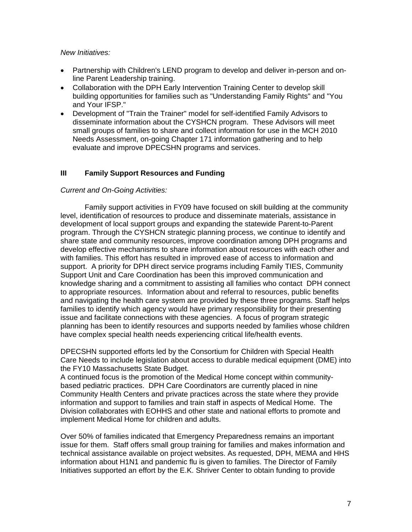### *New Initiatives:*

- Partnership with Children's LEND program to develop and deliver in-person and online Parent Leadership training.
- Collaboration with the DPH Early Intervention Training Center to develop skill building opportunities for families such as "Understanding Family Rights" and "You and Your IFSP."
- Development of "Train the Trainer" model for self-identified Family Advisors to disseminate information about the CYSHCN program. These Advisors will meet small groups of families to share and collect information for use in the MCH 2010 Needs Assessment, on-going Chapter 171 information gathering and to help evaluate and improve DPECSHN programs and services.

## **III Family Support Resources and Funding**

## *Current and On-Going Activities:*

Family support activities in FY09 have focused on skill building at the community level, identification of resources to produce and disseminate materials, assistance in development of local support groups and expanding the statewide Parent-to-Parent program. Through the CYSHCN strategic planning process, we continue to identify and share state and community resources, improve coordination among DPH programs and develop effective mechanisms to share information about resources with each other and with families. This effort has resulted in improved ease of access to information and support. A priority for DPH direct service programs including Family TIES, Community Support Unit and Care Coordination has been this improved communication and knowledge sharing and a commitment to assisting all families who contact DPH connect to appropriate resources. Information about and referral to resources, public benefits and navigating the health care system are provided by these three programs. Staff helps families to identify which agency would have primary responsibility for their presenting issue and facilitate connections with these agencies. A focus of program strategic planning has been to identify resources and supports needed by families whose children have complex special health needs experiencing critical life/health events.

DPECSHN supported efforts led by the Consortium for Children with Special Health Care Needs to include legislation about access to durable medical equipment (DME) into the FY10 Massachusetts State Budget.

A continued focus is the promotion of the Medical Home concept within communitybased pediatric practices. DPH Care Coordinators are currently placed in nine Community Health Centers and private practices across the state where they provide information and support to families and train staff in aspects of Medical Home. The Division collaborates with EOHHS and other state and national efforts to promote and implement Medical Home for children and adults.

Over 50% of families indicated that Emergency Preparedness remains an important issue for them. Staff offers small group training for families and makes information and technical assistance available on project websites. As requested, DPH, MEMA and HHS information about H1N1 and pandemic flu is given to families. The Director of Family Initiatives supported an effort by the E.K. Shriver Center to obtain funding to provide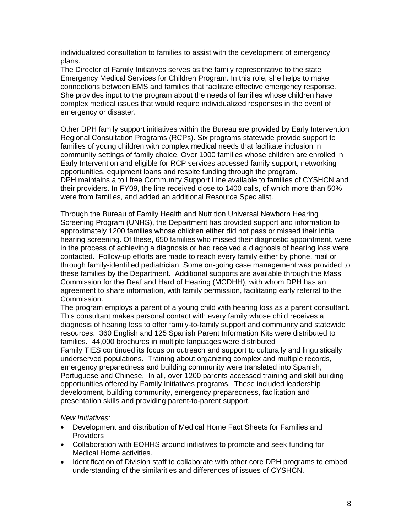individualized consultation to families to assist with the development of emergency plans.

The Director of Family Initiatives serves as the family representative to the state Emergency Medical Services for Children Program. In this role, she helps to make connections between EMS and families that facilitate effective emergency response. She provides input to the program about the needs of families whose children have complex medical issues that would require individualized responses in the event of emergency or disaster.

Other DPH family support initiatives within the Bureau are provided by Early Intervention Regional Consultation Programs (RCPs). Six programs statewide provide support to families of young children with complex medical needs that facilitate inclusion in community settings of family choice. Over 1000 families whose children are enrolled in Early Intervention and eligible for RCP services accessed family support, networking opportunities, equipment loans and respite funding through the program. DPH maintains a toll free Community Support Line available to families of CYSHCN and their providers. In FY09, the line received close to 1400 calls, of which more than 50% were from families, and added an additional Resource Specialist.

Through the Bureau of Family Health and Nutrition Universal Newborn Hearing Screening Program (UNHS), the Department has provided support and information to approximately 1200 families whose children either did not pass or missed their initial hearing screening. Of these, 650 families who missed their diagnostic appointment, were in the process of achieving a diagnosis or had received a diagnosis of hearing loss were contacted. Follow-up efforts are made to reach every family either by phone, mail or through family-identified pediatrician. Some on-going case management was provided to these families by the Department. Additional supports are available through the Mass Commission for the Deaf and Hard of Hearing (MCDHH), with whom DPH has an agreement to share information, with family permission, facilitating early referral to the Commission.

The program employs a parent of a young child with hearing loss as a parent consultant. This consultant makes personal contact with every family whose child receives a diagnosis of hearing loss to offer family-to-family support and community and statewide resources. 360 English and 125 Spanish Parent Information Kits were distributed to families. 44,000 brochures in multiple languages were distributed Family TIES continued its focus on outreach and support to culturally and linguistically underserved populations. Training about organizing complex and multiple records, emergency preparedness and building community were translated into Spanish, Portuguese and Chinese. In all, over 1200 parents accessed training and skill building opportunities offered by Family Initiatives programs. These included leadership development, building community, emergency preparedness, facilitation and presentation skills and providing parent-to-parent support.

#### *New Initiatives:*

- Development and distribution of Medical Home Fact Sheets for Families and Providers
- Collaboration with EOHHS around initiatives to promote and seek funding for Medical Home activities.
- Identification of Division staff to collaborate with other core DPH programs to embed understanding of the similarities and differences of issues of CYSHCN.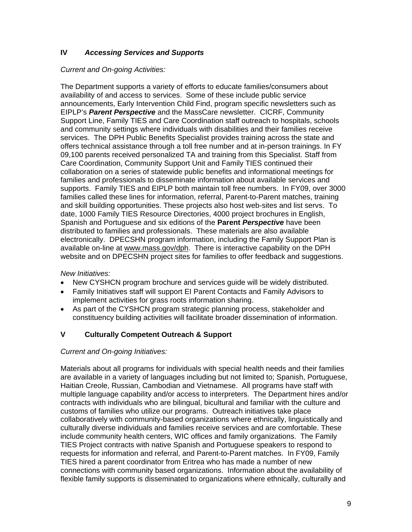## **IV** *Accessing Services and Supports*

## *Current and On-going Activities:*

The Department supports a variety of efforts to educate families/consumers about availability of and access to services. Some of these include public service announcements, Early Intervention Child Find, program specific newsletters such as EIPLP's *Parent Perspective* and the MassCare newsletter. CICRF, Community Support Line, Family TIES and Care Coordination staff outreach to hospitals, schools and community settings where individuals with disabilities and their families receive services. The DPH Public Benefits Specialist provides training across the state and offers technical assistance through a toll free number and at in-person trainings. In FY 09,100 parents received personalized TA and training from this Specialist. Staff from Care Coordination, Community Support Unit and Family TIES continued their collaboration on a series of statewide public benefits and informational meetings for families and professionals to disseminate information about available services and supports. Family TIES and EIPLP both maintain toll free numbers. In FY09, over 3000 families called these lines for information, referral, Parent-to-Parent matches, training and skill building opportunities. These projects also host web-sites and list servs. To date, 1000 Family TIES Resource Directories, 4000 project brochures in English, Spanish and Portuguese and six editions of the **Parent** *Perspective* have been distributed to families and professionals. These materials are also available electronically. DPECSHN program information, including the Family Support Plan is available on-line at [www.mass.gov/dph](http://www.mass.gov/dph). There is interactive capability on the DPH website and on DPECSHN project sites for families to offer feedback and suggestions.

## *New Initiatives:*

- New CYSHCN program brochure and services guide will be widely distributed.
- Family Initiatives staff will support EI Parent Contacts and Family Advisors to implement activities for grass roots information sharing.
- As part of the CYSHCN program strategic planning process, stakeholder and constituency building activities will facilitate broader dissemination of information.

## **V Culturally Competent Outreach & Support**

#### *Current and On-going Initiatives:*

Materials about all programs for individuals with special health needs and their families are available in a variety of languages including but not limited to; Spanish, Portuguese, Haitian Creole, Russian, Cambodian and Vietnamese. All programs have staff with multiple language capability and/or access to interpreters. The Department hires and/or contracts with individuals who are bilingual, bicultural and familiar with the culture and customs of families who utilize our programs. Outreach initiatives take place collaboratively with community-based organizations where ethnically, linguistically and culturally diverse individuals and families receive services and are comfortable. These include community health centers, WIC offices and family organizations. The Family TIES Project contracts with native Spanish and Portuguese speakers to respond to requests for information and referral, and Parent-to-Parent matches. In FY09, Family TIES hired a parent coordinator from Eritrea who has made a number of new connections with community based organizations. Information about the availability of flexible family supports is disseminated to organizations where ethnically, culturally and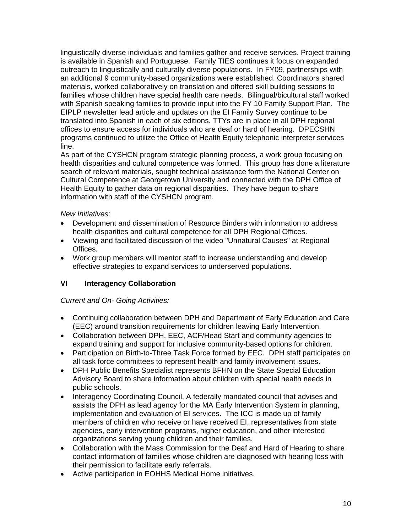linguistically diverse individuals and families gather and receive services. Project training is available in Spanish and Portuguese. Family TIES continues it focus on expanded outreach to linguistically and culturally diverse populations. In FY09, partnerships with an additional 9 community-based organizations were established. Coordinators shared materials, worked collaboratively on translation and offered skill building sessions to families whose children have special health care needs. Bilingual/bicultural staff worked with Spanish speaking families to provide input into the FY 10 Family Support Plan. The EIPLP newsletter lead article and updates on the EI Family Survey continue to be translated into Spanish in each of six editions. TTYs are in place in all DPH regional offices to ensure access for individuals who are deaf or hard of hearing. DPECSHN programs continued to utilize the Office of Health Equity telephonic interpreter services line.

As part of the CYSHCN program strategic planning process, a work group focusing on health disparities and cultural competence was formed. This group has done a literature search of relevant materials, sought technical assistance form the National Center on Cultural Competence at Georgetown University and connected with the DPH Office of Health Equity to gather data on regional disparities. They have begun to share information with staff of the CYSHCN program.

## *New Initiatives*:

- Development and dissemination of Resource Binders with information to address health disparities and cultural competence for all DPH Regional Offices.
- Viewing and facilitated discussion of the video "Unnatural Causes" at Regional Offices.
- Work group members will mentor staff to increase understanding and develop effective strategies to expand services to underserved populations.

## **VI Interagency Collaboration**

## *Current and On- Going Activities:*

- Continuing collaboration between DPH and Department of Early Education and Care (EEC) around transition requirements for children leaving Early Intervention.
- Collaboration between DPH, EEC, ACF/Head Start and community agencies to expand training and support for inclusive community-based options for children.
- Participation on Birth-to-Three Task Force formed by EEC. DPH staff participates on all task force committees to represent health and family involvement issues.
- DPH Public Benefits Specialist represents BFHN on the State Special Education Advisory Board to share information about children with special health needs in public schools.
- Interagency Coordinating Council, A federally mandated council that advises and assists the DPH as lead agency for the MA Early Intervention System in planning, implementation and evaluation of EI services. The ICC is made up of family members of children who receive or have received EI, representatives from state agencies, early intervention programs, higher education, and other interested organizations serving young children and their families.
- Collaboration with the Mass Commission for the Deaf and Hard of Hearing to share contact information of families whose children are diagnosed with hearing loss with their permission to facilitate early referrals.
- Active participation in EOHHS Medical Home initiatives.